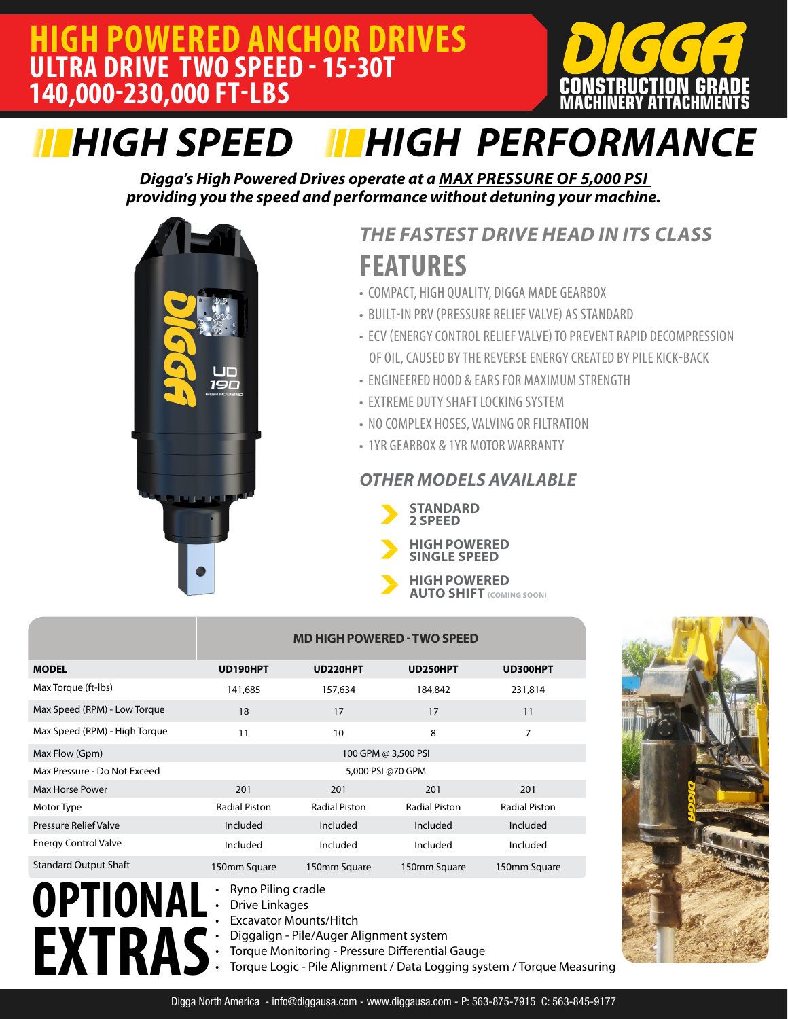

# *HIGH SPEED HIGH PERFORMANCE*

*Digga's High Powered Drives operate at a MAX PRESSURE OF 5,000 PSI providing you the speed and performance without detuning your machine.* 



# **FEATURES** *THE FASTEST DRIVE HEAD IN ITS CLASS*

- COMPACT, HIGH QUALITY, DIGGA MADE GEARBOX
- BUILT-IN PRV (PRESSURE RELIEF VALVE) AS STANDARD
- ECV (ENERGY CONTROL RELIEF VALVE) TO PREVENT RAPID DECOMPRESSION OF OIL, CAUSED BY THE REVERSE ENERGY CREATED BY PILE KICK-BACK
- ENGINEERED HOOD & EARS FOR MAXIMUM STRENGTH
- EXTREME DUTY SHAFT LOCKING SYSTEM
- NO COMPLEX HOSES, VALVING OR FILTRATION
- 1YR GEARBOX & 1YR MOTOR WARRANTY

### *OTHER MODELS AVAILABLE*



- **2 SPEED**
- **HIGH POWERED SINGLE SPEED**
- **HIGH POWERED AUTO SHIFT (COMING SOON)**

|                               | <b>MD HIGH POWERED - TWO SPEED</b>                                                        |                      |                      |                      |  |  |  |  |  |  |  |
|-------------------------------|-------------------------------------------------------------------------------------------|----------------------|----------------------|----------------------|--|--|--|--|--|--|--|
| <b>MODEL</b>                  | UD190HPT                                                                                  | UD220HPT             | UD250HPT             | UD300HPT             |  |  |  |  |  |  |  |
| Max Torque (ft-Ibs)           | 141,685                                                                                   | 157,634              | 184,842              | 231,814              |  |  |  |  |  |  |  |
| Max Speed (RPM) - Low Torque  | 18                                                                                        | 17                   | 17                   | 11                   |  |  |  |  |  |  |  |
| Max Speed (RPM) - High Torque | 11                                                                                        | 10                   | 8                    | 7                    |  |  |  |  |  |  |  |
| Max Flow (Gpm)                | 100 GPM @ 3,500 PSI                                                                       |                      |                      |                      |  |  |  |  |  |  |  |
| Max Pressure - Do Not Exceed  | 5,000 PSI @70 GPM                                                                         |                      |                      |                      |  |  |  |  |  |  |  |
| Max Horse Power               | 201                                                                                       | 201                  | 201                  | 201                  |  |  |  |  |  |  |  |
| Motor Type                    | <b>Radial Piston</b>                                                                      | <b>Radial Piston</b> | <b>Radial Piston</b> | <b>Radial Piston</b> |  |  |  |  |  |  |  |
| <b>Pressure Relief Valve</b>  | Included                                                                                  | Included             | Included             | Included             |  |  |  |  |  |  |  |
| <b>Energy Control Valve</b>   | Included                                                                                  | Included             | Included             | Included             |  |  |  |  |  |  |  |
| <b>Standard Output Shaft</b>  | 150mm Square                                                                              | 150mm Square         | 150mm Square         | 150mm Square         |  |  |  |  |  |  |  |
| OPTIONAL                      | Ryno Piling cradle<br><b>Drive Linkages</b><br>$\bullet$<br><b>Excavator Mounts/Hitch</b> |                      |                      |                      |  |  |  |  |  |  |  |

**EXTRAS**

- **Excavator Mounts/Hitch**
- Diggalign Pile/Auger Alignment system
- Torque Monitoring Pressure Differential Gauge
	- Torque Logic Pile Alignment / Data Logging system / Torque Measuring

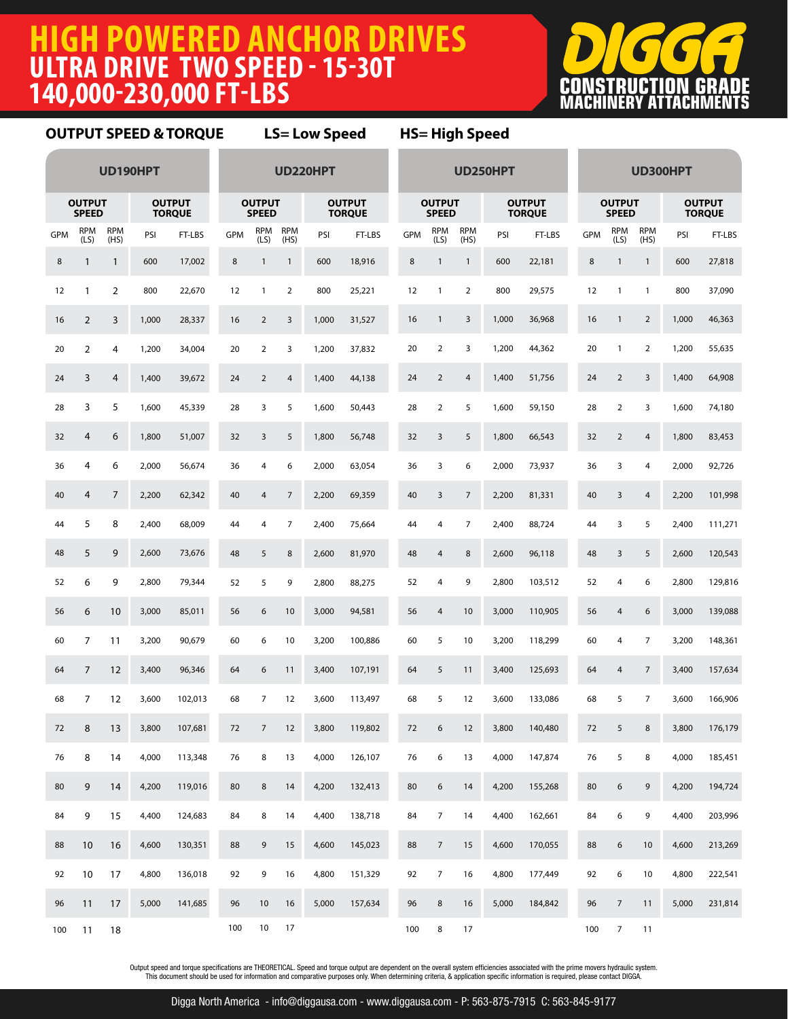### **HIGH POWERED ANCHOR DRIVES ULTRA DRIVE TWO SPEED - 15-30T 140,000-230,000 FT-LBS**



### **OUTPUT SPEED & TORQUE LS= Low Speed HS= High Speed**

| UD190HPT                                                        |                    |                    |                                                                 |         | UD220HPT                      |                    |                    |                                |         | UD250HPT                      |                    |                    |                                |         | UD300HPT   |                    |                    |       |         |
|-----------------------------------------------------------------|--------------------|--------------------|-----------------------------------------------------------------|---------|-------------------------------|--------------------|--------------------|--------------------------------|---------|-------------------------------|--------------------|--------------------|--------------------------------|---------|------------|--------------------|--------------------|-------|---------|
| <b>OUTPUT</b><br><b>OUTPUT</b><br><b>SPEED</b><br><b>TORQUE</b> |                    |                    | <b>OUTPUT</b><br><b>OUTPUT</b><br><b>SPEED</b><br><b>TORQUE</b> |         | <b>OUTPUT</b><br><b>SPEED</b> |                    |                    | <b>OUTPUT</b><br><b>TORQUE</b> |         | <b>OUTPUT</b><br><b>SPEED</b> |                    |                    | <b>OUTPUT</b><br><b>TORQUE</b> |         |            |                    |                    |       |         |
| <b>GPM</b>                                                      | <b>RPM</b><br>(LS) | <b>RPM</b><br>(HS) | PSI                                                             | FT-LBS  | <b>GPM</b>                    | <b>RPM</b><br>(LS) | <b>RPM</b><br>(HS) | PSI                            | FT-LBS  | <b>GPM</b>                    | <b>RPM</b><br>(LS) | <b>RPM</b><br>(HS) | PSI                            | FT-LBS  | <b>GPM</b> | <b>RPM</b><br>(LS) | <b>RPM</b><br>(HS) | PSI   | FT-LBS  |
| $\bf 8$                                                         | $\mathbf{1}$       | $\mathbf{1}$       | 600                                                             | 17,002  | 8                             | $\mathbf{1}$       | $\mathbf{1}$       | 600                            | 18,916  | $\bf 8$                       | $\mathbf{1}$       | $\mathbf{1}$       | 600                            | 22,181  | 8          | $\mathbf{1}$       | $\mathbf{1}$       | 600   | 27,818  |
| 12                                                              | 1                  | 2                  | 800                                                             | 22,670  | 12                            | $\mathbf{1}$       | $\overline{2}$     | 800                            | 25,221  | 12                            | $\mathbf{1}$       | $\overline{2}$     | 800                            | 29,575  | 12         | $\mathbf{1}$       | $\mathbf{1}$       | 800   | 37,090  |
| 16                                                              | $\overline{2}$     | 3                  | 1,000                                                           | 28,337  | 16                            | $\overline{2}$     | $\mathsf{3}$       | 1,000                          | 31,527  | 16                            | $\mathbf{1}$       | 3                  | 1,000                          | 36,968  | 16         | $\mathbf{1}$       | $\overline{2}$     | 1,000 | 46,363  |
| 20                                                              | 2                  | 4                  | 1,200                                                           | 34,004  | 20                            | $\overline{2}$     | 3                  | 1,200                          | 37,832  | 20                            | $\mathbf 2$        | 3                  | 1,200                          | 44,362  | 20         | $\mathbf{1}$       | $\overline{2}$     | 1,200 | 55,635  |
| 24                                                              | 3                  | 4                  | 1,400                                                           | 39,672  | 24                            | $\overline{2}$     | $\overline{4}$     | 1,400                          | 44,138  | 24                            | $\sqrt{2}$         | $\overline{4}$     | 1,400                          | 51,756  | 24         | $\overline{2}$     | 3                  | 1,400 | 64,908  |
| 28                                                              | 3                  | 5                  | 1,600                                                           | 45,339  | 28                            | 3                  | 5                  | 1,600                          | 50,443  | 28                            | $\overline{2}$     | 5                  | 1,600                          | 59,150  | 28         | 2                  | 3                  | 1,600 | 74,180  |
| 32                                                              | 4                  | 6                  | 1,800                                                           | 51,007  | 32                            | 3                  | 5                  | 1,800                          | 56,748  | 32                            | 3                  | 5                  | 1,800                          | 66,543  | 32         | $\overline{2}$     | $\overline{4}$     | 1,800 | 83,453  |
| 36                                                              | 4                  | 6                  | 2,000                                                           | 56,674  | 36                            | 4                  | 6                  | 2,000                          | 63,054  | 36                            | 3                  | 6                  | 2,000                          | 73,937  | 36         | 3                  | 4                  | 2,000 | 92,726  |
| 40                                                              | 4                  | 7                  | 2,200                                                           | 62,342  | 40                            | 4                  | $\overline{7}$     | 2,200                          | 69,359  | 40                            | 3                  | $\overline{7}$     | 2,200                          | 81,331  | 40         | 3                  | $\overline{4}$     | 2,200 | 101,998 |
| 44                                                              | 5                  | 8                  | 2,400                                                           | 68,009  | 44                            | 4                  | 7                  | 2,400                          | 75,664  | 44                            | 4                  | 7                  | 2,400                          | 88,724  | 44         | 3                  | 5                  | 2,400 | 111,271 |
| 48                                                              | 5                  | 9                  | 2,600                                                           | 73,676  | 48                            | 5                  | $\,8\,$            | 2,600                          | 81,970  | 48                            | $\overline{4}$     | 8                  | 2,600                          | 96,118  | 48         | 3                  | 5                  | 2,600 | 120,543 |
| 52                                                              | 6                  | 9                  | 2,800                                                           | 79,344  | 52                            | 5                  | 9                  | 2,800                          | 88,275  | 52                            | 4                  | 9                  | 2,800                          | 103,512 | 52         | 4                  | 6                  | 2,800 | 129,816 |
| 56                                                              | 6                  | 10                 | 3,000                                                           | 85,011  | 56                            | 6                  | 10                 | 3,000                          | 94,581  | 56                            | 4                  | 10                 | 3,000                          | 110,905 | 56         | 4                  | 6                  | 3,000 | 139,088 |
| 60                                                              | 7                  | 11                 | 3,200                                                           | 90,679  | 60                            | 6                  | 10                 | 3,200                          | 100,886 | 60                            | 5                  | 10                 | 3,200                          | 118,299 | 60         | 4                  | 7                  | 3,200 | 148,361 |
| 64                                                              | 7                  | 12                 | 3,400                                                           | 96,346  | 64                            | 6                  | 11                 | 3,400                          | 107,191 | 64                            | 5                  | 11                 | 3,400                          | 125,693 | 64         | 4                  | $\overline{7}$     | 3,400 | 157,634 |
| 68                                                              | 7                  | 12                 | 3,600                                                           | 102,013 | 68                            | 7                  | 12                 | 3,600                          | 113,497 | 68                            | 5                  | 12                 | 3,600                          | 133,086 | 68         | 5                  | 7                  | 3,600 | 166,906 |
| 72                                                              | 8                  | 13                 | 3,800                                                           | 107,681 | 72                            | $\overline{7}$     | 12                 | 3,800                          | 119,802 | 72                            | 6                  | 12                 | 3,800                          | 140,480 | 72         | 5                  | 8                  | 3,800 | 176,179 |
| 76                                                              | 8                  | 14                 | 4,000                                                           | 113,348 | 76                            | 8                  | 13                 | 4,000                          | 126,107 | 76                            | 6                  | 13                 | 4,000                          | 147,874 | 76         | 5                  | 8                  | 4,000 | 185,451 |
| 80                                                              | 9                  | 14                 | 4,200                                                           | 119,016 | 80                            | 8                  | 14                 | 4,200                          | 132,413 | 80                            | $\boldsymbol{6}$   | 14                 | 4,200                          | 155,268 | 80         | $\boldsymbol{6}$   | 9                  | 4,200 | 194,724 |
| 84                                                              | 9                  | 15                 | 4,400                                                           | 124,683 | 84                            | 8                  | 14                 | 4,400                          | 138,718 | 84                            | $\boldsymbol{7}$   | 14                 | 4,400                          | 162,661 | 84         | 6                  | 9                  | 4,400 | 203,996 |
| 88                                                              | 10                 | 16                 | 4,600                                                           | 130,351 | 88                            | 9                  | 15                 | 4,600                          | 145,023 | 88                            | $\boldsymbol{7}$   | 15                 | 4,600                          | 170,055 | 88         | 6                  | 10                 | 4,600 | 213,269 |
| 92                                                              | 10                 | 17                 | 4,800                                                           | 136,018 | 92                            | 9                  | 16                 | 4,800                          | 151,329 | 92                            | $\boldsymbol{7}$   | 16                 | 4,800                          | 177,449 | 92         | 6                  | 10                 | 4,800 | 222,541 |
| 96                                                              | 11                 | 17                 | 5,000                                                           | 141,685 | 96                            | 10                 | 16                 | 5,000                          | 157,634 | 96                            | 8                  | 16                 | 5,000                          | 184,842 | 96         | $\overline{7}$     | 11                 | 5,000 | 231,814 |
| 100                                                             | 11                 | 18                 |                                                                 |         | 100                           | 10                 | 17                 |                                |         | 100                           | $\bf8$             | 17                 |                                |         | 100        | $\overline{7}$     | 11                 |       |         |

.0utput speed and torque specifications are THEORETICAL. Speed and torque output are dependent on the overall system efficiencies associated with the prime movers hydraulic system.<br>This document should be used for informat